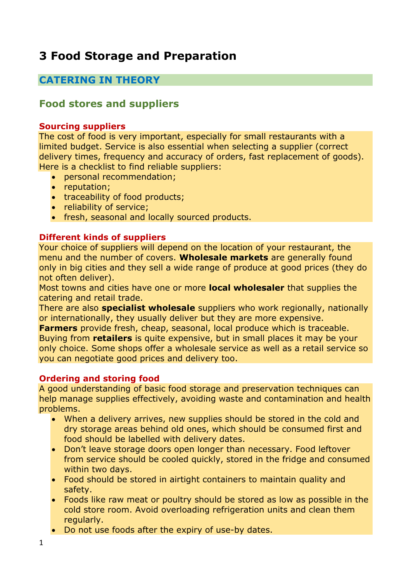# **3 Food Storage and Preparation**

## **CATERING IN THEORY**

## **Food stores and suppliers**

#### **Sourcing suppliers**

The cost of food is very important, especially for small restaurants with a limited budget. Service is also essential when selecting a supplier (correct delivery times, frequency and accuracy of orders, fast replacement of goods). Here is a checklist to find reliable suppliers:

- personal recommendation;
- reputation;
- traceability of food products;
- reliability of service;
- fresh, seasonal and locally sourced products.

## **Different kinds of suppliers**

Your choice of suppliers will depend on the location of your restaurant, the menu and the number of covers. **Wholesale markets** are generally found only in big cities and they sell a wide range of produce at good prices (they do not often deliver).

Most towns and cities have one or more **local wholesaler** that supplies the catering and retail trade.

There are also **specialist wholesale** suppliers who work regionally, nationally or internationally, they usually deliver but they are more expensive.

**Farmers** provide fresh, cheap, seasonal, local produce which is traceable. Buying from **retailers** is quite expensive, but in small places it may be your only choice. Some shops offer a wholesale service as well as a retail service so you can negotiate good prices and delivery too.

## **Ordering and storing food**

A good understanding of basic food storage and preservation techniques can help manage supplies effectively, avoiding waste and contamination and health problems.

- When a delivery arrives, new supplies should be stored in the cold and dry storage areas behind old ones, which should be consumed first and food should be labelled with delivery dates.
- Don't leave storage doors open longer than necessary. Food leftover from service should be cooled quickly, stored in the fridge and consumed within two days.
- Food should be stored in airtight containers to maintain quality and safety.
- Foods like raw meat or poultry should be stored as low as possible in the cold store room. Avoid overloading refrigeration units and clean them regularly.
- Do not use foods after the expiry of use-by dates.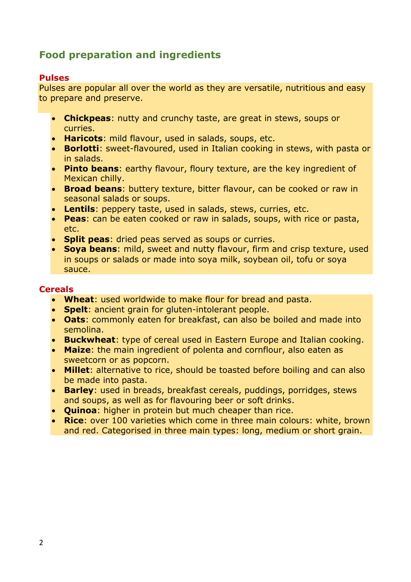# **Food preparation and ingredients**

#### **Pulses**

Pulses are popular all over the world as they are versatile, nutritious and easy to prepare and preserve.

- **Chickpeas**: nutty and crunchy taste, are great in stews, soups or curries.
- **Haricots**: mild flavour, used in salads, soups, etc.
- **Borlotti**: sweet-flavoured, used in Italian cooking in stews, with pasta or in salads.
- **Pinto beans**: earthy flavour, floury texture, are the key ingredient of Mexican chilly.
- **Broad beans**: buttery texture, bitter flavour, can be cooked or raw in seasonal salads or soups.
- **Lentils**: peppery taste, used in salads, stews, curries, etc.
- **Peas**: can be eaten cooked or raw in salads, soups, with rice or pasta, etc.
- **Split peas**: dried peas served as soups or curries.
- **Soya beans**: mild, sweet and nutty flavour, firm and crisp texture, used in soups or salads or made into soya milk, soybean oil, tofu or soya sauce.

## **Cereals**

- **Wheat**: used worldwide to make flour for bread and pasta.
- **Spelt**: ancient grain for gluten-intolerant people.
- **Oats**: commonly eaten for breakfast, can also be boiled and made into semolina.
- **Buckwheat**: type of cereal used in Eastern Europe and Italian cooking.
- **Maize**: the main ingredient of polenta and cornflour, also eaten as sweetcorn or as popcorn.
- **Millet**: alternative to rice, should be toasted before boiling and can also be made into pasta.
- **Barley**: used in breads, breakfast cereals, puddings, porridges, stews and soups, as well as for flavouring beer or soft drinks.
- **Quinoa**: higher in protein but much cheaper than rice.
- **Rice**: over 100 varieties which come in three main colours: white, brown and red. Categorised in three main types: long, medium or short grain.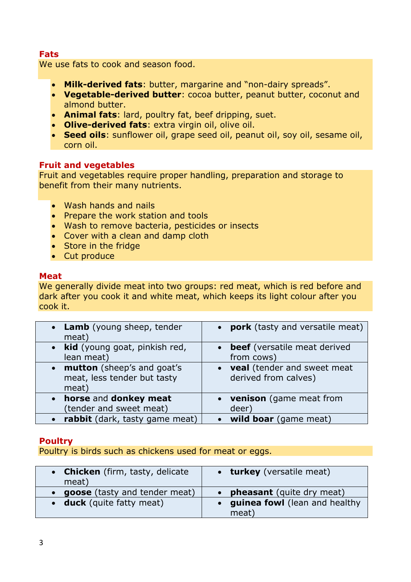## **Fats**

We use fats to cook and season food.

- **Milk-derived fats**: butter, margarine and "non-dairy spreads".
- **Vegetable-derived butter**: cocoa butter, peanut butter, coconut and almond butter.
- **Animal fats**: lard, poultry fat, beef dripping, suet.
- **Olive-derived fats**: extra virgin oil, olive oil.
- **Seed oils**: sunflower oil, grape seed oil, peanut oil, soy oil, sesame oil, corn oil.

## **Fruit and vegetables**

Fruit and vegetables require proper handling, preparation and storage to benefit from their many nutrients.

- Wash hands and nails
- Prepare the work station and tools
- Wash to remove bacteria, pesticides or insects
- Cover with a clean and damp cloth
- Store in the fridge
- Cut produce

#### **Meat**

We generally divide meat into two groups: red meat, which is red before and dark after you cook it and white meat, which keeps its light colour after you cook it.

| • Lamb (young sheep, tender<br>meat)                                 | • pork (tasty and versatile meat)                     |
|----------------------------------------------------------------------|-------------------------------------------------------|
| • kid (young goat, pinkish red,<br>lean meat)                        | • beef (versatile meat derived<br>from cows)          |
| • mutton (sheep's and goat's<br>meat, less tender but tasty<br>meat) | • veal (tender and sweet meat<br>derived from calves) |
| horse and donkey meat<br>$\bullet$<br>(tender and sweet meat)        | • venison (game meat from<br>deer)                    |
| rabbit (dark, tasty game meat)                                       | wild boar (game meat)                                 |

## **Poultry**

Poultry is birds such as chickens used for meat or eggs.

| • Chicken (firm, tasty, delicate<br>meat) | • turkey (versatile meat)        |  |
|-------------------------------------------|----------------------------------|--|
| • goose (tasty and tender meat)           | <b>pheasant</b> (quite dry meat) |  |
| • duck (quite fatty meat)                 | • guinea fowl (lean and healthy  |  |
|                                           | meat)                            |  |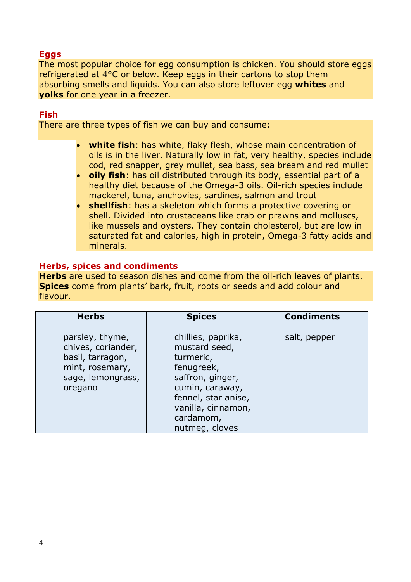## **Eggs**

The most popular choice for egg consumption is chicken. You should store eggs refrigerated at 4°C or below. Keep eggs in their cartons to stop them absorbing smells and liquids. You can also store leftover egg **whites** and **yolks** for one year in a freezer.

#### **Fish**

There are three types of fish we can buy and consume:

- **white fish**: has white, flaky flesh, whose main concentration of oils is in the liver. Naturally low in fat, very healthy, species include cod, red snapper, grey mullet, sea bass, sea bream and red mullet
- **oily fish**: has oil distributed through its body, essential part of a healthy diet because of the Omega-3 oils. Oil-rich species include mackerel, tuna, anchovies, sardines, salmon and trout
- **shellfish**: has a skeleton which forms a protective covering or shell. Divided into crustaceans like crab or prawns and molluscs, like mussels and oysters. They contain cholesterol, but are low in saturated fat and calories, high in protein, Omega-3 fatty acids and minerals.

#### **Herbs, spices and condiments**

**Herbs** are used to season dishes and come from the oil-rich leaves of plants. **Spices** come from plants' bark, fruit, roots or seeds and add colour and flavour.

| <b>Herbs</b>                                                                                                 | <b>Spices</b>                                                                                                                                                                     | <b>Condiments</b> |
|--------------------------------------------------------------------------------------------------------------|-----------------------------------------------------------------------------------------------------------------------------------------------------------------------------------|-------------------|
| parsley, thyme,<br>chives, coriander,<br>basil, tarragon,<br>mint, rosemary,<br>sage, lemongrass,<br>oregano | chillies, paprika,<br>mustard seed,<br>turmeric,<br>fenugreek,<br>saffron, ginger,<br>cumin, caraway,<br>fennel, star anise,<br>vanilla, cinnamon,<br>cardamom,<br>nutmeg, cloves | salt, pepper      |